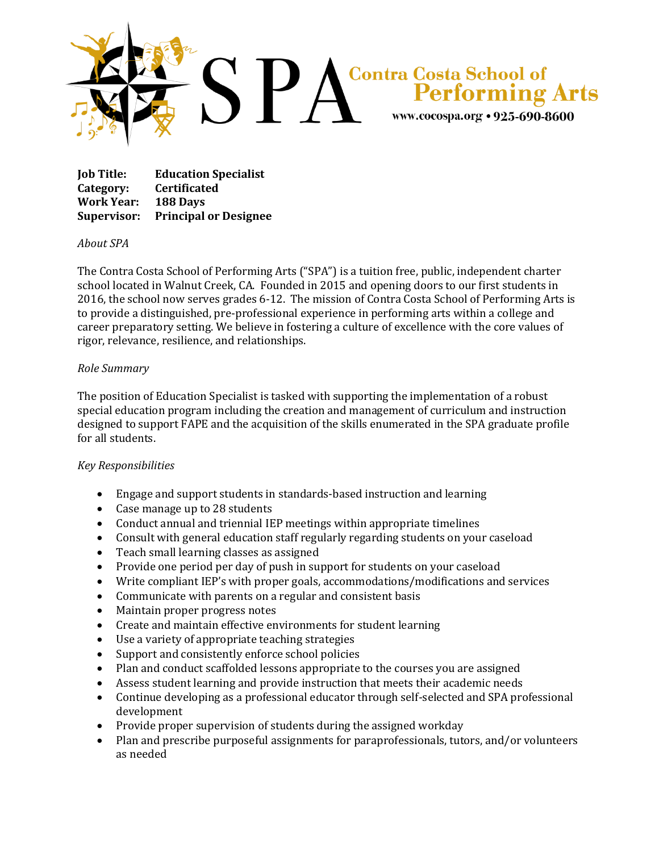

**Job Title: Education Specialist Category: Certificated Work Year: 188 Days Supervisor: Principal or Designee**

## *About SPA*

The Contra Costa School of Performing Arts ("SPA") is a tuition free, public, independent charter school located in Walnut Creek, CA. Founded in 2015 and opening doors to our first students in 2016, the school now serves grades 6-12. The mission of Contra Costa School of Performing Arts is to provide a distinguished, pre-professional experience in performing arts within a college and career preparatory setting. We believe in fostering a culture of excellence with the core values of rigor, relevance, resilience, and relationships.

## *Role Summary*

The position of Education Specialist is tasked with supporting the implementation of a robust special education program including the creation and management of curriculum and instruction designed to support FAPE and the acquisition of the skills enumerated in the SPA graduate profile for all students.

## *Key Responsibilities*

- Engage and support students in standards-based instruction and learning
- Case manage up to 28 students
- Conduct annual and triennial IEP meetings within appropriate timelines
- Consult with general education staff regularly regarding students on your caseload
- Teach small learning classes as assigned
- Provide one period per day of push in support for students on your caseload
- Write compliant IEP's with proper goals, accommodations/modifications and services
- Communicate with parents on a regular and consistent basis
- Maintain proper progress notes
- Create and maintain effective environments for student learning
- Use a variety of appropriate teaching strategies
- Support and consistently enforce school policies
- Plan and conduct scaffolded lessons appropriate to the courses you are assigned
- Assess student learning and provide instruction that meets their academic needs
- Continue developing as a professional educator through self-selected and SPA professional development
- Provide proper supervision of students during the assigned workday
- Plan and prescribe purposeful assignments for paraprofessionals, tutors, and/or volunteers as needed